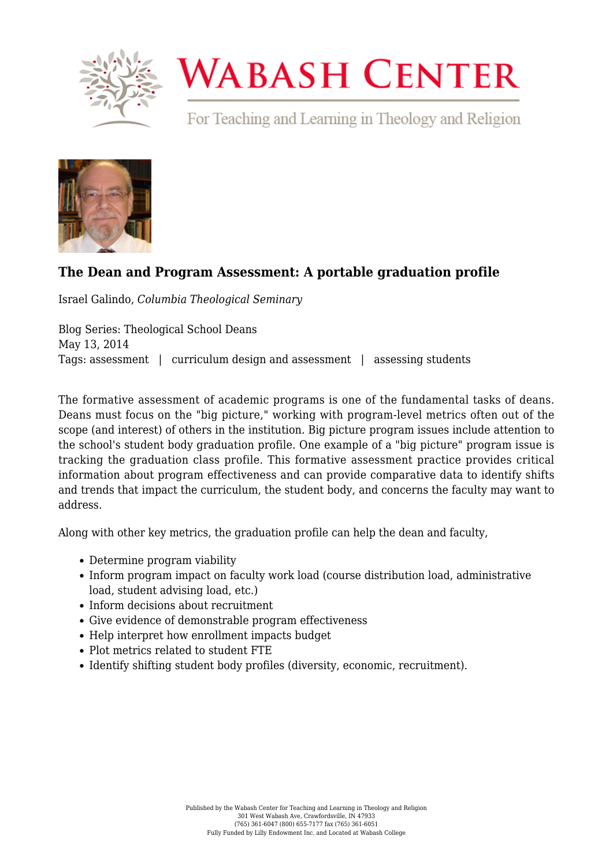

## **WABASH CENTER**

For Teaching and Learning in Theology and Religion



## **[The Dean and Program Assessment: A portable graduation profile](https://www.wabashcenter.wabash.edu/2014/05/the-dean-and-program-assessment-a-portable-graduation-profile/)**

Israel Galindo, *Columbia Theological Seminary*

Blog Series: Theological School Deans May 13, 2014 Tags: assessment | curriculum design and assessment | assessing students

The formative assessment of academic programs is one of the fundamental tasks of deans. Deans must focus on the "big picture," working with program-level metrics often out of the scope (and interest) of others in the institution. Big picture program issues include attention to the school's student body graduation profile. One example of a "big picture" program issue is tracking the graduation class profile. This formative assessment practice provides critical information about program effectiveness and can provide comparative data to identify shifts and trends that impact the curriculum, the student body, and concerns the faculty may want to address.

Along with other key metrics, the graduation profile can help the dean and faculty,

- Determine program viability
- Inform program impact on faculty work load (course distribution load, administrative load, student advising load, etc.)
- Inform decisions about recruitment
- Give evidence of demonstrable program effectiveness
- Help interpret how enrollment impacts budget
- Plot metrics related to student FTE
- Identify shifting student body profiles (diversity, economic, recruitment).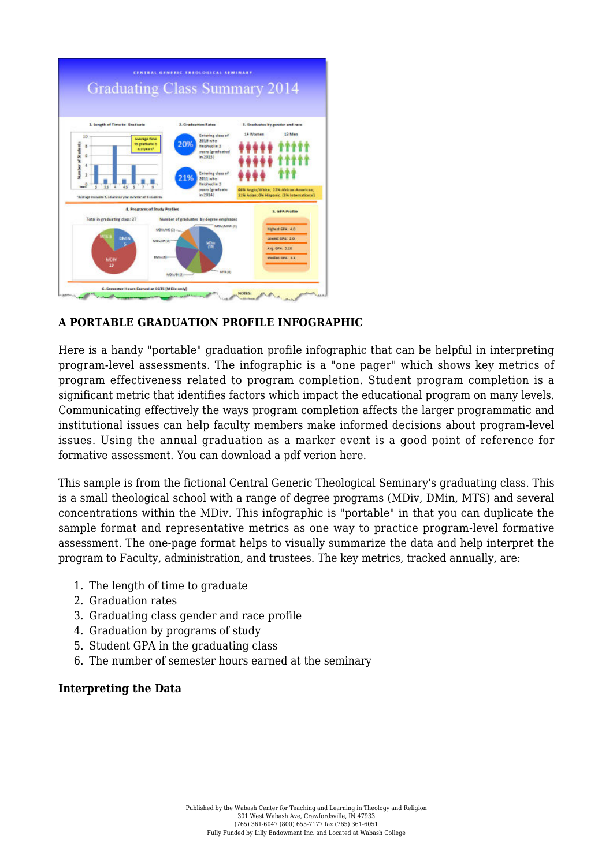

## **A PORTABLE GRADUATION PROFILE INFOGRAPHIC**

Here is a handy "portable" graduation profile infographic that can be helpful in interpreting program-level assessments. The infographic is a "one pager" which shows key metrics of program effectiveness related to program completion. Student program completion is a significant metric that identifies factors which impact the educational program on many levels. Communicating effectively the ways program completion affects the larger programmatic and institutional issues can help faculty members make informed decisions about program-level issues. Using the annual graduation as a marker event is a good point of reference for formative assessment. [You can download a pdf verion here.](https://www.wabashcenter.wabash.edu/wp-content/uploads/2017/06/2014graduationprofile-2.pdf)

This sample is from the fictional Central Generic Theological Seminary's graduating class. This is a small theological school with a range of degree programs (MDiv, DMin, MTS) and several concentrations within the MDiv. This infographic is "portable" in that you can duplicate the sample format and representative metrics as one way to practice program-level formative assessment. The one-page format helps to visually summarize the data and help interpret the program to Faculty, administration, and trustees. The key metrics, tracked annually, are:

- 1. The length of time to graduate
- 2. Graduation rates
- 3. Graduating class gender and race profile
- 4. Graduation by programs of study
- 5. Student GPA in the graduating class
- 6. The number of semester hours earned at the seminary

## **Interpreting the Data**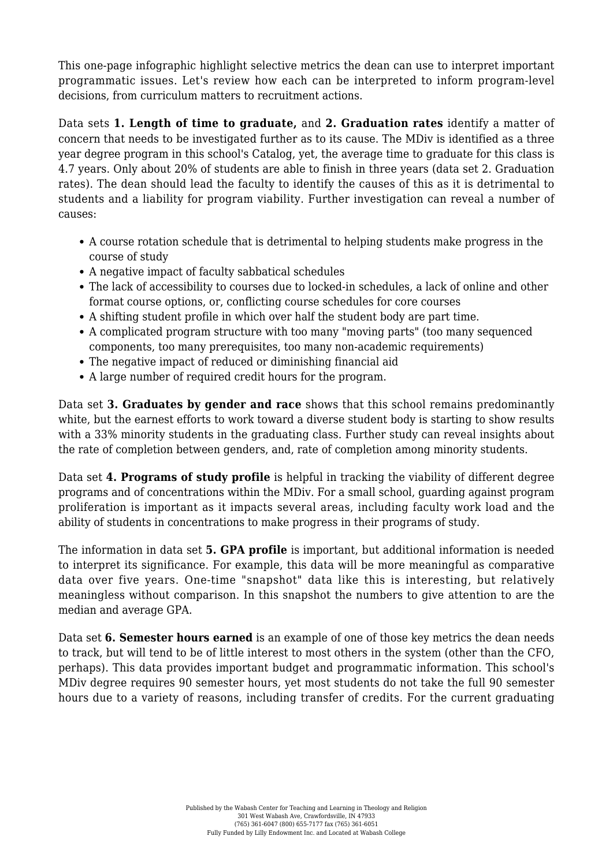This one-page infographic highlight selective metrics the dean can use to interpret important programmatic issues. Let's review how each can be interpreted to inform program-level decisions, from curriculum matters to recruitment actions.

Data sets **1. Length of time to graduate,** and **2. Graduation rates** identify a matter of concern that needs to be investigated further as to its cause. The MDiv is identified as a three year degree program in this school's Catalog, yet, the average time to graduate for this class is 4.7 years. Only about 20% of students are able to finish in three years (data set 2. Graduation rates). The dean should lead the faculty to identify the causes of this as it is detrimental to students and a liability for program viability. Further investigation can reveal a number of causes:

- A course rotation schedule that is detrimental to helping students make progress in the course of study
- A negative impact of faculty sabbatical schedules
- The lack of accessibility to courses due to locked-in schedules, a lack of online and other format course options, or, conflicting course schedules for core courses
- A shifting student profile in which over half the student body are part time.
- A complicated program structure with too many "moving parts" (too many sequenced components, too many prerequisites, too many non-academic requirements)
- The negative impact of reduced or diminishing financial aid
- A large number of required credit hours for the program.

Data set **3. Graduates by gender and race** shows that this school remains predominantly white, but the earnest efforts to work toward a diverse student body is starting to show results with a 33% minority students in the graduating class. Further study can reveal insights about the rate of completion between genders, and, rate of completion among minority students.

Data set **4. Programs of study profile** is helpful in tracking the viability of different degree programs and of concentrations within the MDiv. For a small school, guarding against program proliferation is important as it impacts several areas, including faculty work load and the ability of students in concentrations to make progress in their programs of study.

The information in data set **5. GPA profile** is important, but additional information is needed to interpret its significance. For example, this data will be more meaningful as comparative data over five years. One-time "snapshot" data like this is interesting, but relatively meaningless without comparison. In this snapshot the numbers to give attention to are the median and average GPA.

Data set **6. Semester hours earned** is an example of one of those key metrics the dean needs to track, but will tend to be of little interest to most others in the system (other than the CFO, perhaps). This data provides important budget and programmatic information. This school's MDiv degree requires 90 semester hours, yet most students do not take the full 90 semester hours due to a variety of reasons, including transfer of credits. For the current graduating